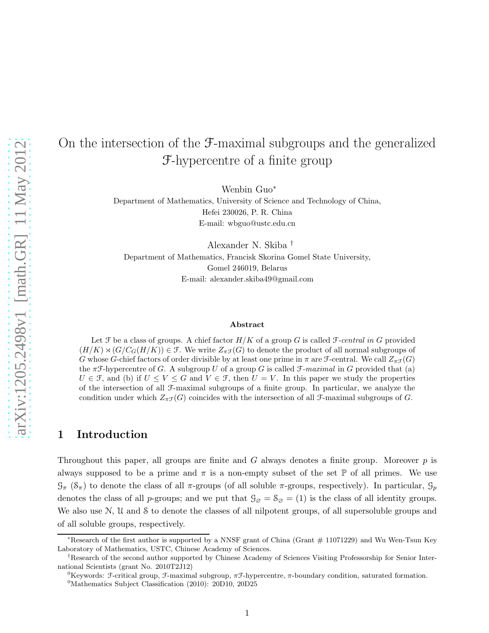# On the intersection of the F-maximal subgroups and the generalized F-hypercentre of a finite group

Wenbin Guo<sup>∗</sup>

Department of Mathematics, University of Science and Technology of China, Hefei 230026, P. R. China E-mail: wbguo@ustc.edu.cn

Alexander N. Skiba † Department of Mathematics, Francisk Skorina Gomel State University, Gomel 246019, Belarus E-mail: alexander.skiba49@gmail.com

#### Abstract

Let  $\mathcal F$  be a class of groups. A chief factor  $H/K$  of a group G is called  $\mathcal F\text{-}central$  in G provided  $(H/K) \rtimes (G/C_G(H/K)) \in \mathcal{F}$ . We write  $Z_{\pi\mathcal{F}}(G)$  to denote the product of all normal subgroups of G whose G-chief factors of order divisible by at least one prime in  $\pi$  are F-central. We call  $Z_{\pi}(\mathcal{G})$ the  $\pi \mathcal{F}$ -hypercentre of G. A subgroup U of a group G is called  $\mathcal{F}$ -maximal in G provided that (a)  $U \in \mathcal{F}$ , and (b) if  $U \leq V \leq G$  and  $V \in \mathcal{F}$ , then  $U = V$ . In this paper we study the properties of the intersection of all F-maximal subgroups of a finite group. In particular, we analyze the condition under which  $Z_{\pi\mathcal{F}}(G)$  coincides with the intersection of all *F*-maximal subgroups of *G*.

### 1 Introduction

Throughout this paper, all groups are finite and  $G$  always denotes a finite group. Moreover  $p$  is always supposed to be a prime and  $\pi$  is a non-empty subset of the set P of all primes. We use  $\mathcal{G}_{\pi}$  ( $\mathcal{S}_{\pi}$ ) to denote the class of all  $\pi$ -groups (of all soluble  $\pi$ -groups, respectively). In particular,  $\mathcal{G}_{p}$ denotes the class of all p-groups; and we put that  $\mathcal{G}_{\emptyset} = \mathcal{S}_{\emptyset} = (1)$  is the class of all identity groups. We also use N, U and S to denote the classes of all nilpotent groups, of all supersoluble groups and of all soluble groups, respectively.

<sup>∗</sup>Research of the first author is supported by a NNSF grant of China (Grant # 11071229) and Wu Wen-Tsun Key Laboratory of Mathematics, USTC, Chinese Academy of Sciences.

<sup>†</sup>Research of the second author supported by Chinese Academy of Sciences Visiting Professorship for Senior International Scientists (grant No. 2010T2J12)

<sup>&</sup>lt;sup>0</sup>Keywords: F-critical group, F-maximal subgroup,  $πF$ -hypercentre,  $π$ -boundary condition, saturated formation.

<sup>&</sup>lt;sup>0</sup>Mathematics Subject Classification (2010): 20D10, 20D25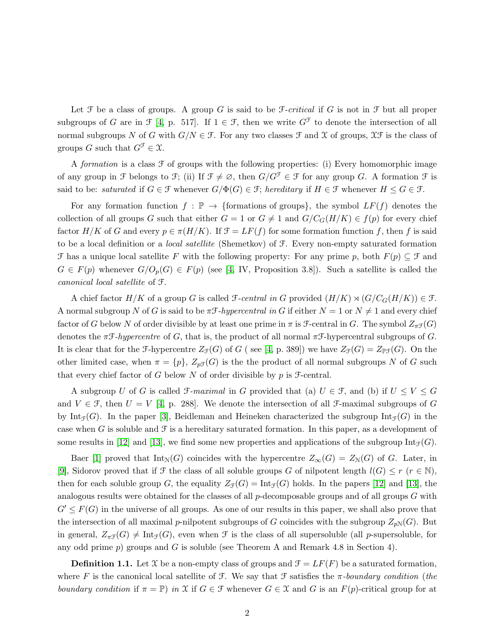Let  $\mathcal F$  be a class of groups. A group G is said to be  $\mathcal F\text{-}critical$  if G is not in  $\mathcal F$  but all proper subgroups of G are in  $\mathcal{F}$  [\[4,](#page-16-0) p. 517]. If  $1 \in \mathcal{F}$ , then we write  $G^{\mathcal{F}}$  to denote the intersection of all normal subgroups N of G with  $G/N \in \mathcal{F}$ . For any two classes  $\mathcal{F}$  and X of groups,  $\mathcal{X}\mathcal{F}$  is the class of groups G such that  $G^{\mathcal{F}} \in \mathcal{X}$ .

A formation is a class  $\mathcal F$  of groups with the following properties: (i) Every homomorphic image of any group in F belongs to F; (ii) If  $\mathcal{F} \neq \emptyset$ , then  $G/G^{\mathcal{F}} \in \mathcal{F}$  for any group G. A formation F is said to be: saturated if  $G \in \mathcal{F}$  whenever  $G/\Phi(G) \in \mathcal{F}$ ; hereditary if  $H \in \mathcal{F}$  whenever  $H \leq G \in \mathcal{F}$ .

For any formation function  $f : \mathbb{P} \to \{\text{formations of groups}\}\)$ , the symbol  $LF(f)$  denotes the collection of all groups G such that either  $G = 1$  or  $G \neq 1$  and  $G/C_G(H/K) \in f(p)$  for every chief factor  $H/K$  of G and every  $p \in \pi(H/K)$ . If  $\mathcal{F} = LF(f)$  for some formation function f, then f is said to be a local definition or a local satellite (Shemetkov) of F. Every non-empty saturated formation F has a unique local satellite F with the following property: For any prime p, both  $F(p) \subseteq \mathcal{F}$  and  $G \in F(p)$  whenever  $G/O_p(G) \in F(p)$  (see [\[4,](#page-16-0) IV, Proposition 3.8]). Such a satellite is called the canonical local satellite of F.

A chief factor  $H/K$  of a group G is called  $\mathcal{F}\text{-}central$  in G provided  $(H/K) \rtimes (G/C_G(H/K)) \in \mathcal{F}\text{-}l$ . A normal subgroup N of G is said to be  $\pi \mathcal{F}$ -hypercentral in G if either  $N = 1$  or  $N \neq 1$  and every chief factor of G below N of order divisible by at least one prime in  $\pi$  is F-central in G. The symbol  $Z_{\pi}(\mathcal{G})$ denotes the  $\pi \mathcal{F}\text{-}hypercentre$  of G, that is, the product of all normal  $\pi \mathcal{F}\text{-}hypercentral$  subgroups of G. It is clear that for the F-hypercentre  $Z_{\mathcal{F}}(G)$  of G ( see [\[4,](#page-16-0) p. 389]) we have  $Z_{\mathcal{F}}(G) = Z_{\mathbb{P}\mathcal{F}}(G)$ . On the other limited case, when  $\pi = \{p\}$ ,  $Z_{p\mathcal{F}}(G)$  is the the product of all normal subgroups N of G such that every chief factor of G below N of order divisible by  $p$  is  $\mathcal{F}-$ central.

A subgroup U of G is called  $\mathcal{F}\text{-}maximal$  in G provided that (a)  $U \in \mathcal{F}$ , and (b) if  $U \leq V \leq G$ and  $V \in \mathcal{F}$ , then  $U = V$  [\[4,](#page-16-0) p. 288]. We denote the intersection of all  $\mathcal{F}$ -maximal subgroups of G by Int<sub>F</sub>(G). In the paper [\[3\]](#page-16-1), Beidleman and Heineken characterized the subgroup Int<sub>F</sub>(G) in the case when G is soluble and  $\mathcal F$  is a hereditary saturated formation. In this paper, as a development of some results in [\[12\]](#page-16-2) and [\[13\]](#page-16-3), we find some new properties and applications of the subgroup  $Int_{\mathcal{F}}(G)$ .

Baer [\[1\]](#page-16-4) proved that  $Int_N(G)$  coincides with the hypercentre  $Z_\infty(G) = Z_N(G)$  of G. Later, in [\[9\]](#page-16-5), Sidorov proved that if  $\mathcal F$  the class of all soluble groups G of nilpotent length  $l(G) \leq r$  ( $r \in \mathbb N$ ), then for each soluble group G, the equality  $Z_{\mathcal{F}}(G) = \text{Int}_{\mathcal{F}}(G)$  holds. In the papers [\[12\]](#page-16-2) and [\[13\]](#page-16-3), the analogous results were obtained for the classes of all  $p$ -decomposable groups and of all groups  $G$  with  $G' \leq F(G)$  in the universe of all groups. As one of our results in this paper, we shall also prove that the intersection of all maximal p-nilpotent subgroups of G coincides with the subgroup  $Z_{pN}(G)$ . But in general,  $Z_{\pi\mathcal{F}}(G) \neq \text{Int}_{\mathcal{F}}(G)$ , even when  $\mathcal F$  is the class of all supersoluble (all p-supersoluble, for any odd prime  $p$ ) groups and G is soluble (see Theorem A and Remark 4.8 in Section 4).

**Definition 1.1.** Let X be a non-empty class of groups and  $\mathcal{F} = LF(F)$  be a saturated formation, where F is the canonical local satellite of F. We say that F satisfies the  $\pi$ -boundary condition (the boundary condition if  $\pi = \mathbb{P}$ ) in X if  $G \in \mathcal{F}$  whenever  $G \in \mathcal{X}$  and G is an  $F(p)$ -critical group for at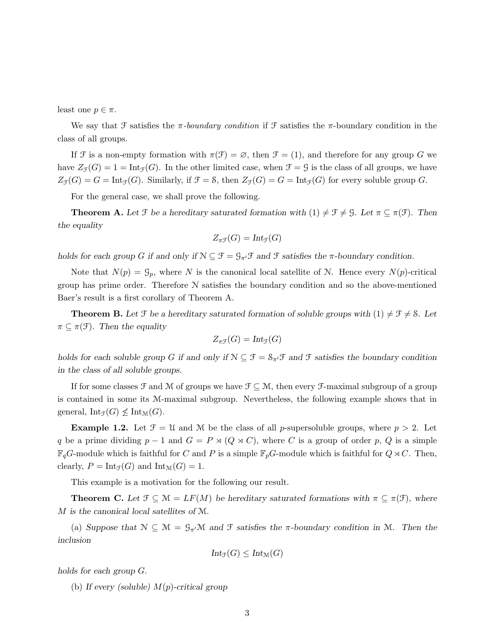least one  $p \in \pi$ .

We say that F satisfies the  $\pi$ -boundary condition if F satisfies the  $\pi$ -boundary condition in the class of all groups.

If F is a non-empty formation with  $\pi(\mathcal{F}) = \emptyset$ , then  $\mathcal{F} = (1)$ , and therefore for any group G we have  $Z_{\mathcal{F}}(G) = 1 = \text{Int}_{\mathcal{F}}(G)$ . In the other limited case, when  $\mathcal{F} = \mathcal{G}$  is the class of all groups, we have  $Z_{\mathcal{F}}(G) = G = \text{Int}_{\mathcal{F}}(G)$ . Similarly, if  $\mathcal{F} = \mathcal{S}$ , then  $Z_{\mathcal{F}}(G) = G = \text{Int}_{\mathcal{F}}(G)$  for every soluble group G.

For the general case, we shall prove the following.

**Theorem A.** Let  $\mathcal{F}$  be a hereditary saturated formation with  $(1) \neq \mathcal{F} \neq \mathcal{G}$ . Let  $\pi \subseteq \pi(\mathcal{F})$ . Then *the equality*

$$
Z_{\pi\mathcal{F}}(G) = Int_{\mathcal{F}}(G)
$$

*holds for each group* G *if and only if*  $\mathcal{N} \subseteq \mathcal{F} = \mathcal{G}_{\pi'}\mathcal{F}$  *and*  $\mathcal{F}$  *satisfies the*  $\pi$ -boundary condition.

Note that  $N(p) = \mathcal{G}_p$ , where N is the canonical local satellite of N. Hence every  $N(p)$ -critical group has prime order. Therefore N satisfies the boundary condition and so the above-mentioned Baer's result is a first corollary of Theorem A.

**Theorem B.** Let F be a hereditary saturated formation of soluble groups with  $(1) \neq \mathcal{F} \neq \mathcal{S}$ . Let  $\pi \subseteq \pi(\mathcal{F})$ *. Then the equality* 

$$
Z_{\pi\mathfrak{F}}(G)=\mathrm{Int}_{\mathfrak{F}}(G)
$$

*holds for each soluble group* G if and only if  $\mathcal{N} \subseteq \mathcal{F} = \mathcal{S}_{\pi'}\mathcal{F}$  and  $\mathcal{F}$  satisfies the boundary condition *in the class of all soluble groups.*

If for some classes  $\mathcal F$  and M of groups we have  $\mathcal F \subseteq \mathcal M$ , then every  $\mathcal F$ -maximal subgroup of a group is contained in some its M-maximal subgroup. Nevertheless, the following example shows that in general,  $Int_{\mathcal{F}}(G) \nleq Int_{\mathcal{M}}(G)$ .

**Example 1.2.** Let  $\mathcal{F} = \mathcal{U}$  and M be the class of all p-supersoluble groups, where  $p > 2$ . Let q be a prime dividing  $p-1$  and  $G = P \rtimes (Q \rtimes C)$ , where C is a group of order p, Q is a simple  $\mathbb{F}_qG$ -module which is faithful for C and P is a simple  $\mathbb{F}_pG$ -module which is faithful for  $Q \rtimes C$ . Then, clearly,  $P = \text{Int}_{\mathcal{F}}(G)$  and  $\text{Int}_{\mathcal{M}}(G) = 1$ .

This example is a motivation for the following our result.

**Theorem C.** Let  $\mathcal{F} \subseteq \mathcal{M} = LF(M)$  be hereditary saturated formations with  $\pi \subseteq \pi(\mathcal{F})$ , where M *is the canonical local satellites of* M*.*

(a) *Suppose that*  $N \subseteq \mathcal{M} = \mathcal{G}_{\pi}M$  *and*  $\mathcal{F}$  *satisfies the*  $\pi$ -boundary condition in M. Then the *inclusion*

$$
Int_{\mathcal{F}}(G) \leq Int_{\mathcal{M}}(G)
$$

*holds for each group* G.

(b) *If every (soluble)* M(p)*-critical group*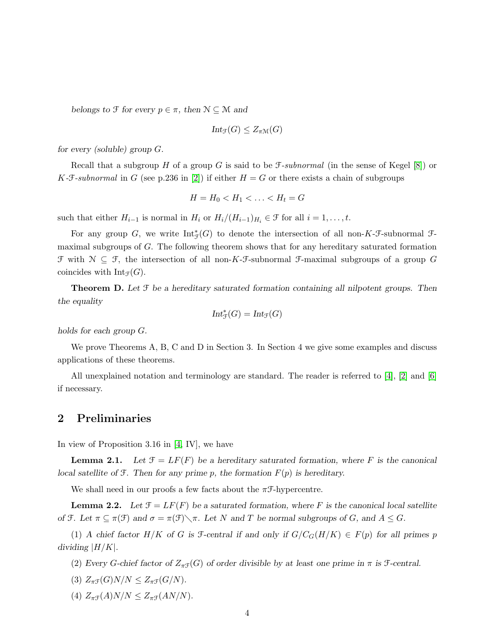*belongs to*  $\mathcal{F}$  *for every*  $p \in \pi$ *, then*  $\mathcal{N} \subseteq \mathcal{M}$  *and* 

$$
Int_{\mathcal{F}}(G) \leq Z_{\pi \mathcal{M}}(G)
$$

*for every (soluble) group* G*.*

Recall that a subgroup H of a group G is said to be  $\mathcal{F}\text{-}subnormal$  (in the sense of Kegel [\[8\]](#page-16-6)) or K-F-subnormal in G (see p.236 in [\[2\]](#page-16-7)) if either  $H = G$  or there exists a chain of subgroups

$$
H = H_0 < H_1 < \ldots < H_t = G
$$

such that either  $H_{i-1}$  is normal in  $H_i$  or  $H_i/(H_{i-1})_{H_i} \in \mathcal{F}$  for all  $i = 1, \ldots, t$ .

For any group G, we write  $\text{Int}_{\mathcal{F}}^*(G)$  to denote the intersection of all non-K-F-subnormal Fmaximal subgroups of G. The following theorem shows that for any hereditary saturated formation  $\mathcal F$  with  $\mathcal N \subseteq \mathcal F$ , the intersection of all non-K- $\mathcal F$ -subnormal  $\mathcal F$ -maximal subgroups of a group  $G$ coincides with  $Int_{\mathcal{F}}(G)$ .

Theorem D. *Let* F *be a hereditary saturated formation containing all nilpotent groups. Then the equality*

$$
\mathrm{Int}_{\mathcal{F}}^*(G)=\mathrm{Int}_{\mathcal{F}}(G)
$$

*holds for each group* G*.*

We prove Theorems A, B, C and D in Section 3. In Section 4 we give some examples and discuss applications of these theorems.

All unexplained notation and terminology are standard. The reader is referred to [\[4\]](#page-16-0), [\[2\]](#page-16-7) and [\[6\]](#page-16-8) if necessary.

#### 2 Preliminaries

In view of Proposition 3.16 in [\[4,](#page-16-0) IV], we have

**Lemma 2.1.** Let  $\mathcal{F} = LF(F)$  be a hereditary saturated formation, where F is the canonical *local satellite of* F*. Then for any prime* p*, the formation* F(p) *is hereditary.*

We shall need in our proofs a few facts about the  $\pi \mathcal{F}$ -hypercentre.

**Lemma 2.2.** Let  $\mathcal{F} = LF(F)$  be a saturated formation, where F is the canonical local satellite *of*  $\mathcal{F}$ *. Let*  $\pi \subseteq \pi(\mathcal{F})$  *and*  $\sigma = \pi(\mathcal{F}) \setminus \pi$ *. Let* N *and* T *be normal subgroups of* G, and  $A \leq G$ *.* 

(1) *A* chief factor  $H/K$  of *G* is *f*-central if and only if  $G/C<sub>G</sub>(H/K) \in F(p)$  for all primes p *dividing*  $|H/K|$ *.* 

(2) *Every G-chief factor of*  $Z_{\pi}(\mathcal{G})$  *of order divisible by at least one prime in*  $\pi$  *is f-central.* 

- (3)  $Z_{\pi\mathcal{F}}(G)N/N \leq Z_{\pi\mathcal{F}}(G/N)$ .
- (4)  $Z_{\pi}(\mathcal{F}(A)N/N \leq Z_{\pi}(\mathcal{F}(AN/N)).$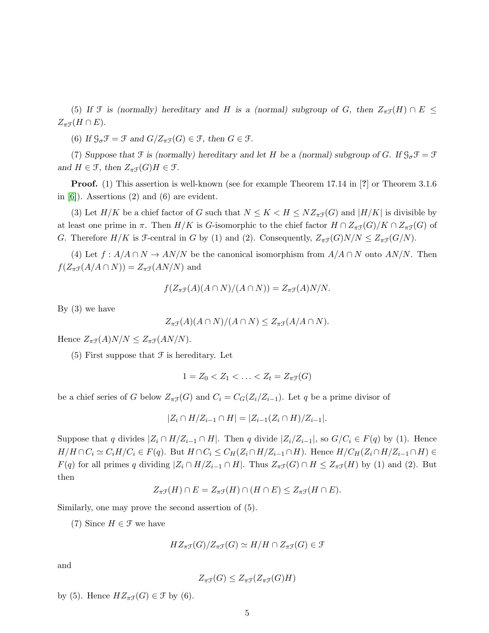(5) If  $\mathcal F$  *is (normally) hereditary and* H *is a (normal) subgroup of G, then*  $Z_{\pi\mathcal F}(H) \cap E \le$  $Z_{\pi\mathfrak{F}}(H\cap E).$ 

(6) If  $\mathcal{G}_{\sigma}\mathcal{F} = \mathcal{F}$  and  $G/Z_{\pi}\mathcal{F}(G) \in \mathcal{F}$ , then  $G \in \mathcal{F}$ .

(7) *Suppose that*  $\mathcal F$  *is (normally) hereditary and let* H *be a (normal) subgroup of G. If*  $\mathcal G_\sigma \mathcal F = \mathcal F$ *and*  $H \in \mathcal{F}$ *, then*  $Z_{\pi\mathcal{F}}(G)H \in \mathcal{F}$ *.* 

Proof. (1) This assertion is well-known (see for example Theorem 17.14 in [?] or Theorem 3.1.6 in [\[6\]](#page-16-8)). Assertions (2) and (6) are evident.

(3) Let  $H/K$  be a chief factor of G such that  $N \leq K < H \leq NZ_{\pi}(\mathcal{G})$  and  $|H/K|$  is divisible by at least one prime in  $\pi$ . Then  $H/K$  is G-isomorphic to the chief factor  $H \cap Z_{\pi}(\mathcal{G})/K \cap Z_{\pi}(\mathcal{G})$  of G. Therefore  $H/K$  is F-central in G by (1) and (2). Consequently,  $Z_{\pi\mathcal{F}}(G)N/N \leq Z_{\pi\mathcal{F}}(G/N)$ .

(4) Let  $f : A/A \cap N \to AN/N$  be the canonical isomorphism from  $A/A \cap N$  onto  $AN/N$ . Then  $f(Z_{\pi\mathcal{F}}(A/A \cap N)) = Z_{\pi\mathcal{F}}(AN/N)$  and

$$
f(Z_{\pi\mathcal{F}}(A)(A \cap N)/(A \cap N)) = Z_{\pi\mathcal{F}}(A)N/N.
$$

By  $(3)$  we have

$$
Z_{\pi\mathcal{F}}(A)(A \cap N)/(A \cap N) \le Z_{\pi\mathcal{F}}(A/A \cap N).
$$

Hence  $Z_{\pi\mathcal{F}}(A)N/N \leq Z_{\pi\mathcal{F}}(AN/N)$ .

 $(5)$  First suppose that  $\mathcal F$  is hereditary. Let

$$
1 = Z_0 < Z_1 < \ldots < Z_t = Z_{\pi \mathcal{F}}(G)
$$

be a chief series of G below  $Z_{\pi\mathcal{F}}(G)$  and  $C_i = C_G(Z_i/Z_{i-1})$ . Let q be a prime divisor of

$$
|Z_i \cap H/Z_{i-1} \cap H| = |Z_{i-1}(Z_i \cap H)/Z_{i-1}|.
$$

Suppose that q divides  $|Z_i \cap H/Z_{i-1} \cap H|$ . Then q divide  $|Z_i/Z_{i-1}|$ , so  $G/C_i \in F(q)$  by (1). Hence  $H/H \cap C_i \simeq C_i H/C_i \in F(q)$ . But  $H \cap C_i \leq C_H(Z_i \cap H/Z_{i-1} \cap H)$ . Hence  $H/C_H(Z_i \cap H/Z_{i-1} \cap H) \in$  $F(q)$  for all primes q dividing  $|Z_i \cap H/Z_{i-1} \cap H|$ . Thus  $Z_{\pi\mathcal{F}}(G) \cap H \leq Z_{\pi\mathcal{F}}(H)$  by (1) and (2). But then

$$
Z_{\pi\mathcal{F}}(H) \cap E = Z_{\pi\mathcal{F}}(H) \cap (H \cap E) \le Z_{\pi\mathcal{F}}(H \cap E).
$$

Similarly, one may prove the second assertion of (5).

(7) Since  $H \in \mathcal{F}$  we have

$$
HZ_{\pi\mathcal{F}}(G)/Z_{\pi\mathcal{F}}(G) \simeq H/H \cap Z_{\pi\mathcal{F}}(G) \in \mathcal{F}
$$

and

$$
Z_{\pi\mathcal{F}}(G) \leq Z_{\pi\mathcal{F}}(Z_{\pi\mathcal{F}}(G)H)
$$

by (5). Hence  $HZ_{\pi\mathcal{F}}(G) \in \mathcal{F}$  by (6).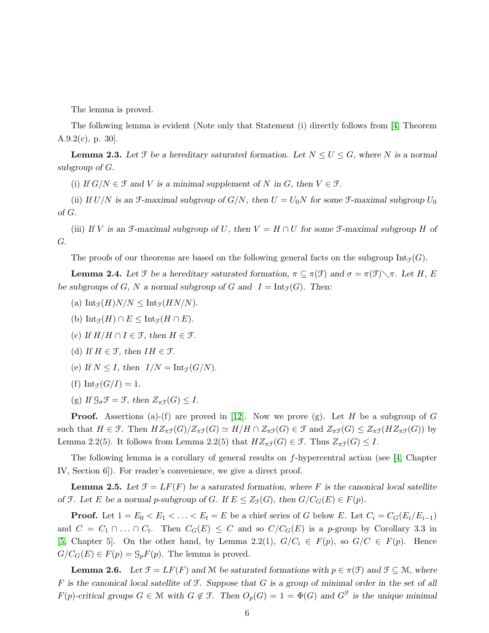The lemma is proved.

The following lemma is evident (Note only that Statement (i) directly follows from [\[4,](#page-16-0) Theorem A.9.2(c), p. 30].

**Lemma 2.3.** Let  $\mathcal{F}$  be a hereditary saturated formation. Let  $N \leq U \leq G$ , where N is a normal *subgroup of* G*.*

(i) *If*  $G/N \in \mathcal{F}$  *and V is a minimal supplement of* N *in*  $G$ *, then*  $V \in \mathcal{F}$ *.* 

(ii) If  $U/N$  is an  $\mathcal{F}-$ -maximal subgroup of  $G/N$ , then  $U = U_0N$  for some  $\mathcal{F}-$ -maximal subgroup  $U_0$ *of* G.

(iii) If V is an  $\mathcal{F}-$ -maximal subgroup of U, then  $V = H \cap U$  for some  $\mathcal{F}-$ -maximal subgroup H of G*.*

The proofs of our theorems are based on the following general facts on the subgroup  $Int_{\mathcal{F}}(G)$ .

**Lemma 2.4.** Let  $\mathcal{F}$  be a hereditary saturated formation,  $\pi \subseteq \pi(\mathcal{F})$  and  $\sigma = \pi(\mathcal{F}) \setminus \pi$ . Let H, E *be subgroups of*  $G$ *,*  $N$  *a normal subgroup of*  $G$  *and*  $I = \text{Int}_{\mathcal{F}}(G)$ *. Then:* 

- (a)  $\text{Int}_{\mathcal{F}}(H)N/N \leq \text{Int}_{\mathcal{F}}(HN/N).$
- (b)  $\text{Int}_{\mathcal{F}}(H) \cap E \leq \text{Int}_{\mathcal{F}}(H \cap E).$
- (c) If  $H/H \cap I \in \mathcal{F}$ , then  $H \in \mathcal{F}$ .
- (d) If  $H \in \mathcal{F}$ , then  $IH \in \mathcal{F}$ .
- (e) If  $N \leq I$ , then  $I/N = \text{Int}_{\mathcal{F}}(G/N)$ .
- (f)  $Int_{\mathcal{F}}(G/I) = 1$ .
- (g) If  $\mathcal{G}_{\sigma}\mathcal{F} = \mathcal{F}$ , then  $Z_{\pi\mathcal{F}}(G) \leq I$ .

**Proof.** Assertions (a)-(f) are proved in [\[12\]](#page-16-2). Now we prove (g). Let H be a subgroup of G such that  $H \in \mathcal{F}$ . Then  $HZ_{\pi\mathcal{F}}(G)/Z_{\pi\mathcal{F}}(G) \simeq H/H \cap Z_{\pi\mathcal{F}}(G) \in \mathcal{F}$  and  $Z_{\pi\mathcal{F}}(G) \leq Z_{\pi\mathcal{F}}(HZ_{\pi\mathcal{F}}(G))$  by Lemma 2.2(5). It follows from Lemma 2.2(5) that  $HZ_{\pi\mathcal{F}}(G) \in \mathcal{F}$ . Thus  $Z_{\pi\mathcal{F}}(G) \leq I$ .

The following lemma is a corollary of general results on  $f$ -hypercentral action (see [\[4,](#page-16-0) Chapter IV, Section 6]). For reader's convenience, we give a direct proof.

**Lemma 2.5.** Let  $\mathcal{F} = LF(F)$  be a saturated formation, where F is the canonical local satellite *of*  $\mathcal{F}$ *. Let*  $E$  *be a normal p-subgroup of G. If*  $E \leq Z_{\mathcal{F}}(G)$ *, then*  $G/C_G(E) \in F(p)$ *.* 

**Proof.** Let  $1 = E_0 < E_1 < \ldots < E_t = E$  be a chief series of G below E. Let  $C_i = C_G(E_i/E_{i-1})$ and  $C = C_1 \cap ... \cap C_t$ . Then  $C_G(E) \leq C$  and so  $C/C_G(E)$  is a p-group by Corollary 3.3 in [\[5,](#page-16-9) Chapter 5]. On the other hand, by Lemma 2.2(1),  $G/C_i \in F(p)$ , so  $G/C \in F(p)$ . Hence  $G/C_G(E) \in F(p) = \mathcal{G}_p F(p)$ . The lemma is proved.

**Lemma 2.6.** Let  $\mathcal{F} = LF(F)$  and M be saturated formations with  $p \in \pi(\mathcal{F})$  and  $\mathcal{F} \subseteq \mathcal{M}$ , where F *is the canonical local satellite of* F*. Suppose that* G *is a group of minimal order in the set of all*  $F(p)$ -critical groups  $G \in \mathcal{M}$  with  $G \notin \mathcal{F}$ . Then  $O_p(G) = 1 = \Phi(G)$  and  $G^{\mathcal{F}}$  is the unique minimal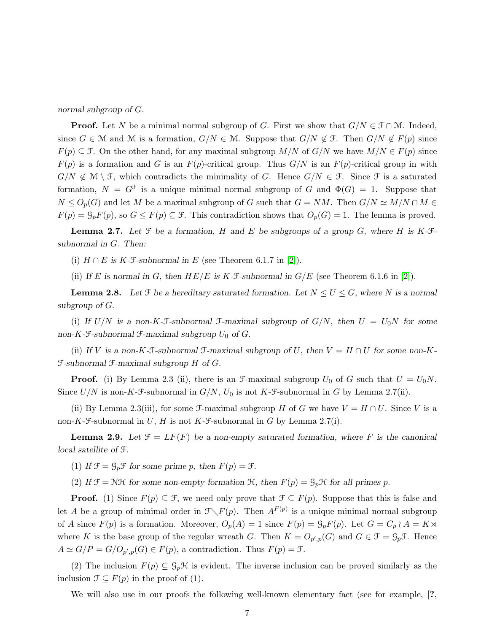*normal subgroup of* G*.*

**Proof.** Let N be a minimal normal subgroup of G. First we show that  $G/N \in \mathcal{F} \cap \mathcal{M}$ . Indeed, since  $G \in \mathcal{M}$  and  $\mathcal{M}$  is a formation,  $G/N \in \mathcal{M}$ . Suppose that  $G/N \notin \mathcal{F}$ . Then  $G/N \notin F(p)$  since  $F(p) \subseteq \mathcal{F}$ . On the other hand, for any maximal subgroup  $M/N$  of  $G/N$  we have  $M/N \in F(p)$  since  $F(p)$  is a formation and G is an  $F(p)$ -critical group. Thus  $G/N$  is an  $F(p)$ -critical group in with  $G/N \notin \mathcal{M} \setminus \mathcal{F}$ , which contradicts the minimality of G. Hence  $G/N \in \mathcal{F}$ . Since  $\mathcal{F}$  is a saturated formation,  $N = G^{\mathcal{F}}$  is a unique minimal normal subgroup of G and  $\Phi(G) = 1$ . Suppose that  $N \le O_p(G)$  and let M be a maximal subgroup of G such that  $G = NM$ . Then  $G/N \simeq M/N \cap M \in$  $F(p) = \mathcal{G}_p F(p)$ , so  $G \leq F(p) \subseteq \mathcal{F}$ . This contradiction shows that  $O_p(G) = 1$ . The lemma is proved.

Lemma 2.7. *Let* F *be a formation,* H *and* E *be subgroups of a group* G*, where* H *is* K*-*F*subnormal in* G*. Then:*

(i)  $H \cap E$  is  $K$ -*F*-subnormal in E (see Theorem 6.1.7 in [\[2\]](#page-16-7)).

(ii) If E is normal in G, then  $HE/E$  is K-F-subnormal in  $G/E$  (see Theorem 6.1.6 in [\[2\]](#page-16-7)).

**Lemma 2.8.** Let  $\mathcal{F}$  be a hereditary saturated formation. Let  $N \leq U \leq G$ , where N is a normal *subgroup of* G*.*

(i) If  $U/N$  is a non-K-F-subnormal F-maximal subgroup of  $G/N$ , then  $U = U_0N$  for some non-K-F-subnormal F-maximal subgroup  $U_0$  of  $G$ .

(ii) If V is a non-K-F-subnormal F-maximal subgroup of U, then  $V = H \cap U$  for some non-K-F*-subnormal* F*-maximal subgroup* H *of* G*.*

**Proof.** (i) By Lemma 2.3 (ii), there is an  $\mathcal{F}-$ -maximal subgroup  $U_0$  of G such that  $U = U_0N$ . Since  $U/N$  is non-K-F-subnormal in  $G/N$ ,  $U_0$  is not K-F-subnormal in G by Lemma 2.7(ii).

(ii) By Lemma 2.3(iii), for some *F*-maximal subgroup H of G we have  $V = H \cap U$ . Since V is a non-K-F-subnormal in U, H is not K-F-subnormal in G by Lemma 2.7(i).

**Lemma 2.9.** Let  $\mathcal{F} = LF(F)$  be a non-empty saturated formation, where F is the canonical *local satellite of* F*.*

(1) If  $\mathfrak{F} = \mathfrak{G}_p \mathfrak{F}$  for some prime p, then  $F(p) = \mathfrak{F}$ .

(2) If  $\mathcal{F} = \mathcal{N}\mathcal{H}$  for some non-empty formation  $\mathcal{H}$ , then  $F(p) = \mathcal{G}_p\mathcal{H}$  for all primes p.

**Proof.** (1) Since  $F(p) \subseteq \mathcal{F}$ , we need only prove that  $\mathcal{F} \subseteq F(p)$ . Suppose that this is false and let A be a group of minimal order in  $\mathcal{F}\setminus F(p)$ . Then  $A^{F(p)}$  is a unique minimal normal subgroup of A since  $F(p)$  is a formation. Moreover,  $O_p(A) = 1$  since  $F(p) = \mathcal{G}_p F(p)$ . Let  $G = C_p \wr A = K \rtimes$ where K is the base group of the regular wreath G. Then  $K = O_{p',p}(G)$  and  $G \in \mathcal{F} = \mathcal{G}_p\mathcal{F}$ . Hence  $A \simeq G/P = G/O_{p',p}(G) \in F(p)$ , a contradiction. Thus  $F(p) = \mathcal{F}$ .

(2) The inclusion  $F(p) \subseteq \mathcal{G}_p\mathcal{H}$  is evident. The inverse inclusion can be proved similarly as the inclusion  $\mathcal{F} \subseteq F(p)$  in the proof of (1).

We will also use in our proofs the following well-known elementary fact (see for example,  $\mathsf{?}$ ,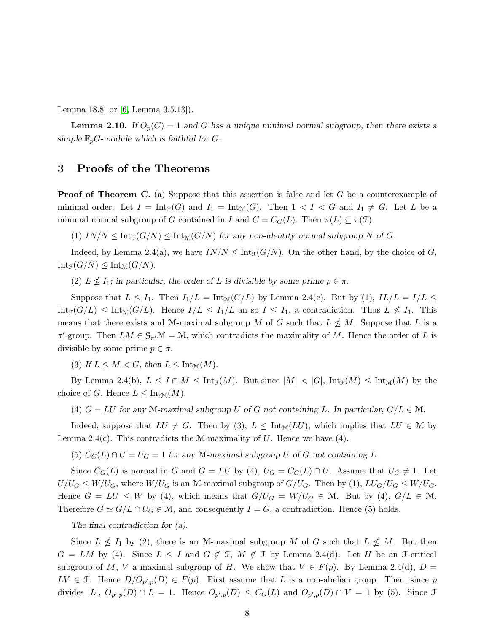Lemma 18.8] or [\[6,](#page-16-8) Lemma 3.5.13]).

**Lemma 2.10.** *If*  $O_p(G) = 1$  *and G has a unique minimal normal subgroup, then there exists a* simple  $\mathbb{F}_p$ *G*-module which is faithful for *G*.

#### 3 Proofs of the Theorems

**Proof of Theorem C.** (a) Suppose that this assertion is false and let G be a counterexample of minimal order. Let  $I = Int_{\mathcal{F}}(G)$  and  $I_1 = Int_{\mathcal{M}}(G)$ . Then  $1 < I < G$  and  $I_1 \neq G$ . Let L be a minimal normal subgroup of G contained in I and  $C = C_G(L)$ . Then  $\pi(L) \subseteq \pi(\mathcal{F})$ .

 $(1)$   $IN/N \leq Int_{\mathcal{F}}(G/N) \leq Int_{\mathcal{M}}(G/N)$  *for any non-identity normal subgroup* N of G.

Indeed, by Lemma 2.4(a), we have  $IN/N \leq Int_{\mathcal{F}}(G/N)$ . On the other hand, by the choice of G,  $Int_{\mathcal{F}}(G/N) \leq Int_{\mathcal{M}}(G/N).$ 

(2)  $L \nleq I_1$ ; in particular, the order of L is divisible by some prime  $p \in \pi$ .

Suppose that  $L \leq I_1$ . Then  $I_1/L = Int_{\mathcal{M}}(G/L)$  by Lemma 2.4(e). But by (1),  $IL/L = I/L \leq$  $Int_{\mathcal{F}}(G/L) \le Int_{\mathcal{M}}(G/L)$ . Hence  $I/L \le I_1/L$  an so  $I \le I_1$ , a contradiction. Thus  $L \not\le I_1$ . This means that there exists and M-maximal subgroup M of G such that  $L \nleq M$ . Suppose that L is a  $\pi'$ -group. Then  $LM \in \mathcal{G}_{\pi'}\mathcal{M} = \mathcal{M}$ , which contradicts the maximality of M. Hence the order of L is divisible by some prime  $p \in \pi$ .

(3) If  $L \leq M < G$ , then  $L \leq \text{Int}_{\mathcal{M}}(M)$ .

By Lemma 2.4(b),  $L \leq I \cap M \leq \text{Int}_{\mathcal{F}}(M)$ . But since  $|M| < |G|$ ,  $\text{Int}_{\mathcal{F}}(M) \leq \text{Int}_{\mathcal{M}}(M)$  by the choice of G. Hence  $L \leq \text{Int}_{\mathcal{M}}(M)$ .

(4)  $G = LU$  for any M-maximal subgroup U of G not containing L. In particular,  $G/L \in \mathcal{M}$ .

Indeed, suppose that  $LU \neq G$ . Then by (3),  $L \leq \text{Int}_{\mathcal{M}}(LU)$ , which implies that  $LU \in \mathcal{M}$  by Lemma 2.4(c). This contradicts the M-maximality of U. Hence we have  $(4)$ .

(5)  $C_G(L) \cap U = U_G = 1$  for any M-maximal subgroup U of G not containing L.

Since  $C_G(L)$  is normal in G and  $G = LU$  by (4),  $U_G = C_G(L) \cap U$ . Assume that  $U_G \neq 1$ . Let  $U/U_G \leq W/U_G$ , where  $W/U_G$  is an M-maximal subgroup of  $G/U_G$ . Then by (1),  $LU_G/U_G \leq W/U_G$ . Hence  $G = LU \leq W$  by (4), which means that  $G/U_G = W/U_G \in \mathcal{M}$ . But by (4),  $G/L \in \mathcal{M}$ . Therefore  $G \simeq G/L \cap U_G \in \mathcal{M}$ , and consequently  $I = G$ , a contradiction. Hence (5) holds.

*The final contradiction for (a).*

Since  $L \nleq I_1$  by (2), there is an M-maximal subgroup M of G such that  $L \nleq M$ . But then  $G = LM$  by (4). Since  $L \leq I$  and  $G \notin \mathcal{F}$ ,  $M \notin \mathcal{F}$  by Lemma 2.4(d). Let H be an  $\mathcal{F}$ -critical subgroup of M, V a maximal subgroup of H. We show that  $V \in F(p)$ . By Lemma 2.4(d),  $D =$  $LV \in \mathcal{F}$ . Hence  $D/O_{p',p}(D) \in F(p)$ . First assume that L is a non-abelian group. Then, since p divides  $|L|$ ,  $O_{p',p}(D) \cap L = 1$ . Hence  $O_{p',p}(D) \leq C_G(L)$  and  $O_{p',p}(D) \cap V = 1$  by (5). Since  $\mathcal F$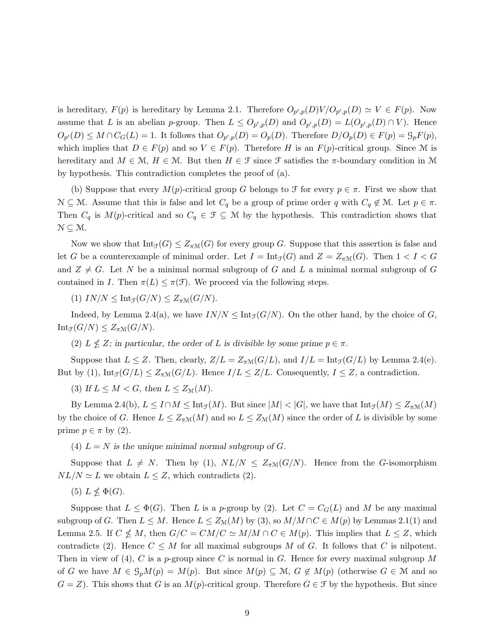is hereditary,  $F(p)$  is hereditary by Lemma 2.1. Therefore  $O_{p',p}(D)V/O_{p',p}(D) \simeq V \in F(p)$ . Now assume that L is an abelian p-group. Then  $L \leq O_{p',p}(D)$  and  $O_{p',p}(D) = L(O_{p',p}(D) \cap V)$ . Hence  $O_{p'}(D) \leq M \cap C_G(L) = 1$ . It follows that  $O_{p',p}(D) = O_p(D)$ . Therefore  $D/O_p(D) \in F(p) = \mathcal{G}_p(F(p))$ , which implies that  $D \in F(p)$  and so  $V \in F(p)$ . Therefore H is an  $F(p)$ -critical group. Since M is hereditary and  $M \in \mathcal{M}$ ,  $H \in \mathcal{M}$ . But then  $H \in \mathcal{F}$  since  $\mathcal{F}$  satisfies the  $\pi$ -boundary condition in M by hypothesis. This contradiction completes the proof of (a).

(b) Suppose that every  $M(p)$ -critical group G belongs to F for every  $p \in \pi$ . First we show that  $\mathcal{N} \subseteq \mathcal{M}$ . Assume that this is false and let  $C_q$  be a group of prime order q with  $C_q \notin \mathcal{M}$ . Let  $p \in \pi$ . Then  $C_q$  is  $M(p)$ -critical and so  $C_q \in \mathcal{F} \subseteq \mathcal{M}$  by the hypothesis. This contradiction shows that  $\mathcal{N} \subseteq \mathcal{M}$ .

Now we show that  $Int_{\mathcal{F}}(G) \leq Z_{\pi \mathcal{M}}(G)$  for every group G. Suppose that this assertion is false and let G be a counterexample of minimal order. Let  $I = \text{Int}_{\mathcal{F}}(G)$  and  $Z = Z_{\pi \mathcal{M}}(G)$ . Then  $1 < I < G$ and  $Z \neq G$ . Let N be a minimal normal subgroup of G and L a minimal normal subgroup of G contained in I. Then  $\pi(L) \leq \pi(\mathcal{F})$ . We proceed via the following steps.

(1)  $IN/N \leq Int_{\mathcal{F}}(G/N) \leq Z_{\pi \mathcal{M}}(G/N).$ 

Indeed, by Lemma 2.4(a), we have  $IN/N \leq Int_{\mathcal{F}}(G/N)$ . On the other hand, by the choice of G,  $\text{Int}_{\mathcal{F}}(G/N) \leq Z_{\pi \mathcal{M}}(G/N).$ 

(2)  $L \nleq Z$ ; in particular, the order of L is divisible by some prime  $p \in \pi$ .

Suppose that  $L \leq Z$ . Then, clearly,  $Z/L = Z_{\pi M}(G/L)$ , and  $I/L = \text{Int}_{\mathcal{F}}(G/L)$  by Lemma 2.4(e). But by (1),  $\text{Int}_{\mathcal{F}}(G/L) \leq Z_{\pi \mathcal{M}}(G/L)$ . Hence  $I/L \leq Z/L$ . Consequently,  $I \leq Z$ , a contradiction.

(3) If  $L \leq M < G$ , then  $L \leq Z_{\mathcal{M}}(M)$ .

By Lemma 2.4(b),  $L \leq I \cap M \leq Int_{\mathcal{F}}(M)$ . But since  $|M| < |G|$ , we have that  $Int_{\mathcal{F}}(M) \leq Z_{\pi}(\mathcal{M})$ by the choice of G. Hence  $L \leq Z_{\pi M}(M)$  and so  $L \leq Z_M(M)$  since the order of L is divisible by some prime  $p \in \pi$  by (2).

(4)  $L = N$  is the unique minimal normal subgroup of G.

Suppose that  $L \neq N$ . Then by (1),  $NL/N \leq Z_{\pi N}(G/N)$ . Hence from the G-isomorphism  $NL/N \simeq L$  we obtain  $L \leq Z$ , which contradicts (2).

(5)  $L \nleq \Phi(G)$ .

Suppose that  $L \leq \Phi(G)$ . Then L is a p-group by (2). Let  $C = C_G(L)$  and M be any maximal subgroup of G. Then  $L \leq M$ . Hence  $L \leq Z_{\mathcal{M}}(M)$  by (3), so  $M/M \cap C \in M(p)$  by Lemmas 2.1(1) and Lemma 2.5. If  $C \nleq M$ , then  $G/C = CM/C \simeq M/M \cap C \in M(p)$ . This implies that  $L \leq Z$ , which contradicts (2). Hence  $C \leq M$  for all maximal subgroups M of G. It follows that C is nilpotent. Then in view of (4), C is a p-group since C is normal in G. Hence for every maximal subgroup M of G we have  $M \in \mathcal{G}_pM(p) = M(p)$ . But since  $M(p) \subseteq \mathcal{M}, G \notin M(p)$  (otherwise  $G \in \mathcal{M}$  and so  $G = Z$ ). This shows that G is an  $M(p)$ -critical group. Therefore  $G \in \mathcal{F}$  by the hypothesis. But since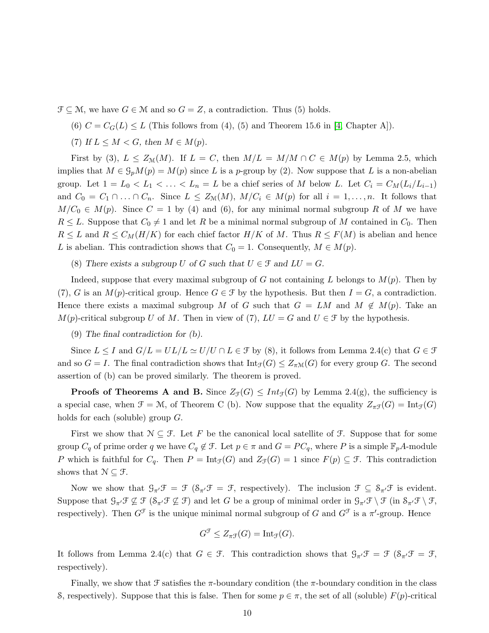$\mathcal{F} \subseteq \mathcal{M}$ , we have  $G \in \mathcal{M}$  and so  $G = Z$ , a contradiction. Thus (5) holds.

(6)  $C = C_G(L) \leq L$  (This follows from (4), (5) and Theorem 15.6 in [\[4,](#page-16-0) Chapter A]).

(7) If  $L \leq M \leq G$ , then  $M \in M(p)$ .

First by (3),  $L \leq Z_{\mathcal{M}}(M)$ . If  $L = C$ , then  $M/L = M/M \cap C \in M(p)$  by Lemma 2.5, which implies that  $M \in \mathcal{G}_pM(p) = M(p)$  since L is a p-group by (2). Now suppose that L is a non-abelian group. Let  $1 = L_0 < L_1 < \ldots < L_n = L$  be a chief series of M below L. Let  $C_i = C_M(L_i/L_{i-1})$ and  $C_0 = C_1 \cap ... \cap C_n$ . Since  $L \leq Z_{\mathcal{M}}(M)$ ,  $M/C_i \in M(p)$  for all  $i = 1,...,n$ . It follows that  $M/C_0 \in M(p)$ . Since  $C = 1$  by (4) and (6), for any minimal normal subgroup R of M we have  $R \leq L$ . Suppose that  $C_0 \neq 1$  and let R be a minimal normal subgroup of M contained in  $C_0$ . Then  $R \leq L$  and  $R \leq C_M(H/K)$  for each chief factor  $H/K$  of M. Thus  $R \leq F(M)$  is abelian and hence L is abelian. This contradiction shows that  $C_0 = 1$ . Consequently,  $M \in M(p)$ .

(8) There exists a subgroup U of G such that  $U \in \mathcal{F}$  and  $LU = G$ .

Indeed, suppose that every maximal subgroup of G not containing L belongs to  $M(p)$ . Then by (7), G is an  $M(p)$ -critical group. Hence  $G \in \mathcal{F}$  by the hypothesis. But then  $I = G$ , a contradiction. Hence there exists a maximal subgroup M of G such that  $G = LM$  and  $M \notin M(p)$ . Take an  $M(p)$ -critical subgroup U of M. Then in view of (7),  $LU = G$  and  $U \in \mathcal{F}$  by the hypothesis.

#### (9) *The final contradiction for (b).*

Since  $L \leq I$  and  $G/L = UL/L \simeq U/U \cap L \in \mathcal{F}$  by (8), it follows from Lemma 2.4(c) that  $G \in \mathcal{F}$ and so  $G = I$ . The final contradiction shows that  $\text{Int}_{\mathcal{F}}(G) \leq Z_{\pi \mathcal{M}}(G)$  for every group G. The second assertion of (b) can be proved similarly. The theorem is proved.

**Proofs of Theorems A and B.** Since  $Z_{\mathcal{F}}(G) \leq Int_{\mathcal{F}}(G)$  by Lemma 2.4(g), the sufficiency is a special case, when  $\mathcal{F} = \mathcal{M}$ , of Theorem C (b). Now suppose that the equality  $Z_{\pi\mathcal{F}}(G) = \text{Int}_{\mathcal{F}}(G)$ holds for each (soluble) group G.

First we show that  $\mathcal{N} \subseteq \mathcal{F}$ . Let F be the canonical local satellite of  $\mathcal{F}$ . Suppose that for some group  $C_q$  of prime order q we have  $C_q \notin \mathcal{F}$ . Let  $p \in \pi$  and  $G = PC_q$ , where P is a simple  $\mathbb{F}_pA$ -module P which is faithful for  $C_q$ . Then  $P = Int_{\mathcal{F}}(G)$  and  $Z_{\mathcal{F}}(G) = 1$  since  $F(p) \subseteq \mathcal{F}$ . This contradiction shows that  $\mathcal{N} \subseteq \mathcal{F}$ .

Now we show that  $\mathcal{G}_{\pi}/\mathcal{F} = \mathcal{F} (\mathcal{S}_{\pi}/\mathcal{F} = \mathcal{F}$ , respectively). The inclusion  $\mathcal{F} \subseteq \mathcal{S}_{\pi}/\mathcal{F}$  is evident. Suppose that  $\mathcal{G}_{\pi'}\mathcal{F} \not\subseteq \mathcal{F}$  ( $\mathcal{S}_{\pi'}\mathcal{F} \not\subseteq \mathcal{F}$ ) and let G be a group of minimal order in  $\mathcal{G}_{\pi'}\mathcal{F} \setminus \mathcal{F}$  (in  $\mathcal{S}_{\pi'}\mathcal{F} \setminus \mathcal{F}$ , respectively). Then  $G^{\mathcal{F}}$  is the unique minimal normal subgroup of G and  $G^{\mathcal{F}}$  is a  $\pi'$ -group. Hence

$$
G^{\mathcal{F}} \leq Z_{\pi\mathcal{F}}(G) = \text{Int}_{\mathcal{F}}(G).
$$

It follows from Lemma 2.4(c) that  $G \in \mathcal{F}$ . This contradiction shows that  $\mathcal{G}_{\pi'}\mathcal{F} = \mathcal{F}(\mathcal{S}_{\pi'}\mathcal{F} = \mathcal{F},$ respectively).

Finally, we show that  $\mathcal F$  satisfies the  $\pi$ -boundary condition (the  $\pi$ -boundary condition in the class S, respectively). Suppose that this is false. Then for some  $p \in \pi$ , the set of all (soluble)  $F(p)$ -critical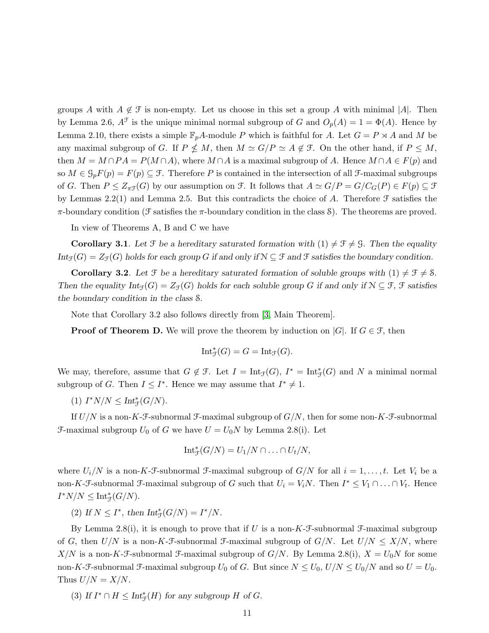groups A with  $A \notin \mathcal{F}$  is non-empty. Let us choose in this set a group A with minimal |A|. Then by Lemma 2.6,  $A^{\mathcal{F}}$  is the unique minimal normal subgroup of G and  $O_p(A) = 1 = \Phi(A)$ . Hence by Lemma 2.10, there exists a simple  $\mathbb{F}_pA$ -module P which is faithful for A. Let  $G = P \rtimes A$  and M be any maximal subgroup of G. If  $P \nleq M$ , then  $M \simeq G/P \simeq A \notin \mathcal{F}$ . On the other hand, if  $P \leq M$ , then  $M = M \cap PA = P(M \cap A)$ , where  $M \cap A$  is a maximal subgroup of A. Hence  $M \cap A \in F(p)$  and so  $M \in \mathcal{G}_p F(p) = F(p) \subseteq \mathcal{F}$ . Therefore P is contained in the intersection of all  $\mathcal{F}$ -maximal subgroups of G. Then  $P \leq Z_{\pi}(\mathcal{G})$  by our assumption on  $\mathcal{F}$ . It follows that  $A \simeq G/P = G/C_G(P) \in F(p) \subseteq \mathcal{F}$ by Lemmas 2.2(1) and Lemma 2.5. But this contradicts the choice of A. Therefore  $\mathcal F$  satisfies the π-boundary condition (F satisfies the π-boundary condition in the class S). The theorems are proved.

In view of Theorems A, B and C we have

**Corollary 3.1**. Let  $\mathcal{F}$  be a hereditary saturated formation with  $(1) \neq \mathcal{F} \neq \mathcal{G}$ . Then the equality *Int*<sub>F</sub>(G) =  $Z_f(G)$  *holds for each group* G *if and only if*  $N \subseteq \mathcal{F}$  *and*  $\mathcal{F}$  *satisfies the boundary condition.* 

**Corollary 3.2**. Let  $\mathcal{F}$  be a hereditary saturated formation of soluble groups with  $(1) \neq \mathcal{F} \neq \mathcal{S}$ . *Then the equality*  $Int_{\mathcal{F}}(G) = Z_{\mathcal{F}}(G)$  *holds for each soluble group* G if and only if  $\mathcal{N} \subseteq \mathcal{F}$ ,  $\mathcal{F}$  satisfies *the boundary condition in the class* S*.*

Note that Corollary 3.2 also follows directly from [\[3,](#page-16-1) Main Theorem].

**Proof of Theorem D.** We will prove the theorem by induction on |G|. If  $G \in \mathcal{F}$ , then

$$
\mathrm{Int}^*_{\mathcal{F}}(G)=G=\mathrm{Int}_{\mathcal{F}}(G).
$$

We may, therefore, assume that  $G \notin \mathcal{F}$ . Let  $I = \text{Int}_{\mathcal{F}}(G)$ ,  $I^* = \text{Int}_{\mathcal{F}}(G)$  and N a minimal normal subgroup of G. Then  $I \leq I^*$ . Hence we may assume that  $I^* \neq 1$ .

(1)  $I^*N/N \leq Int^*_{\mathcal{F}}(G/N)$ .

If  $U/N$  is a non-K-F-subnormal F-maximal subgroup of  $G/N$ , then for some non-K-F-subnormal F-maximal subgroup  $U_0$  of G we have  $U = U_0 N$  by Lemma 2.8(i). Let

$$
\mathrm{Int}_{\mathcal{F}}^*(G/N)=U_1/N\cap\ldots\cap U_t/N,
$$

where  $U_i/N$  is a non-K-F-subnormal F-maximal subgroup of  $G/N$  for all  $i = 1, \ldots, t$ . Let  $V_i$  be a non-K-F-subnormal F-maximal subgroup of G such that  $U_i = V_i N$ . Then  $I^* \leq V_1 \cap \ldots \cap V_t$ . Hence  $I^*N/N \leq \mathrm{Int}^*_{\mathcal{F}}(G/N).$ 

(2) If  $N \leq I^*$ , then  $Int^*_{\mathcal{F}}(G/N) = I^*/N$ .

By Lemma 2.8(i), it is enough to prove that if U is a non-K-F-subnormal F-maximal subgroup of G, then  $U/N$  is a non-K-F-subnormal F-maximal subgroup of  $G/N$ . Let  $U/N \leq X/N$ , where X/N is a non-K-F-subnormal F-maximal subgroup of  $G/N$ . By Lemma 2.8(i),  $X = U_0N$  for some non-K-F-subnormal F-maximal subgroup  $U_0$  of G. But since  $N \leq U_0$ ,  $U/N \leq U_0/N$  and so  $U = U_0$ . Thus  $U/N = X/N$ .

(3) If  $I^* \cap H \leq Int_{\mathcal{F}}^*(H)$  for any subgroup H of G.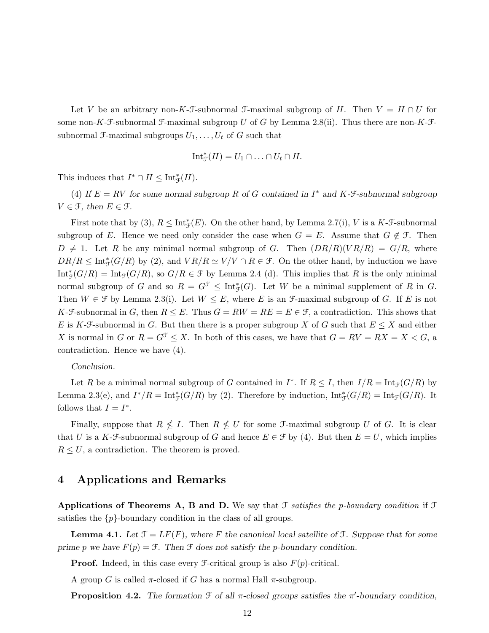Let V be an arbitrary non-K-F-subnormal F-maximal subgroup of H. Then  $V = H \cap U$  for some non-K-F-subnormal F-maximal subgroup U of G by Lemma 2.8(ii). Thus there are non-K-Fsubnormal F-maximal subgroups  $U_1, \ldots, U_t$  of G such that

$$
\mathrm{Int}_{\mathcal{F}}^*(H)=U_1\cap\ldots\cap U_t\cap H.
$$

This induces that  $I^* \cap H \leq \text{Int}_{\mathcal{F}}^*(H)$ .

(4) If  $E = RV$  for some normal subgroup R of G contained in  $I^*$  and  $K$ -F-subnormal subgroup  $V \in \mathcal{F}$ , then  $E \in \mathcal{F}$ .

First note that by (3),  $R \leq Int^*_{\mathcal{F}}(E)$ . On the other hand, by Lemma 2.7(i), V is a K-F-subnormal subgroup of E. Hence we need only consider the case when  $G = E$ . Assume that  $G \notin \mathcal{F}$ . Then  $D \neq 1$ . Let R be any minimal normal subgroup of G. Then  $(DR/R)(VR/R) = G/R$ , where  $DR/R \leq Int^*_{\mathcal{F}}(G/R)$  by (2), and  $VR/R \simeq V/V \cap R \in \mathcal{F}$ . On the other hand, by induction we have  $\text{Int}_{\mathcal{F}}^*(G/R) = \text{Int}_{\mathcal{F}}(G/R)$ , so  $G/R \in \mathcal{F}$  by Lemma 2.4 (d). This implies that R is the only minimal normal subgroup of G and so  $R = G^{\mathcal{F}} \leq \text{Int}_{\mathcal{F}}^{*}(G)$ . Let W be a minimal supplement of R in G. Then  $W \in \mathcal{F}$  by Lemma 2.3(i). Let  $W \leq E$ , where E is an *F*-maximal subgroup of G. If E is not K-F-subnormal in G, then  $R \leq E$ . Thus  $G = RW = RE = E \in \mathcal{F}$ , a contradiction. This shows that E is K-F-subnormal in G. But then there is a proper subgroup X of G such that  $E \leq X$  and either X is normal in G or  $R = G^{\mathcal{F}} \leq X$ . In both of this cases, we have that  $G = RV = RX = X < G$ , a contradiction. Hence we have (4).

*Conclusion.*

Let R be a minimal normal subgroup of G contained in  $I^*$ . If  $R \leq I$ , then  $I/R = \text{Int}_{\mathcal{F}}(G/R)$  by Lemma 2.3(e), and  $I^*/R = \text{Int}^*_{\mathcal{F}}(G/R)$  by (2). Therefore by induction,  $\text{Int}^*_{\mathcal{F}}(G/R) = \text{Int}_{\mathcal{F}}(G/R)$ . It follows that  $I = I^*$ .

Finally, suppose that  $R \nleq I$ . Then  $R \nleq U$  for some *F*-maximal subgroup U of G. It is clear that U is a K-F-subnormal subgroup of G and hence  $E \in \mathcal{F}$  by (4). But then  $E = U$ , which implies  $R \leq U$ , a contradiction. The theorem is proved.

#### 4 Applications and Remarks

Applications of Theorems A, B and D. We say that  $\mathcal F$  satisfies the p-boundary condition if  $\mathcal F$ satisfies the  $\{p\}$ -boundary condition in the class of all groups.

**Lemma 4.1.** Let  $\mathcal{F} = LF(F)$ , where F the canonical local satellite of  $\mathcal{F}$ . Suppose that for some *prime* p we have  $F(p) = \mathcal{F}$ . Then  $\mathcal{F}$  does not satisfy the p-boundary condition.

**Proof.** Indeed, in this case every  $\mathcal{F}\text{-critical group}$  is also  $F(p)\text{-critical}$ .

A group G is called  $\pi$ -closed if G has a normal Hall  $\pi$ -subgroup.

**Proposition 4.2.** The formation  $\mathcal F$  of all  $\pi$ -closed groups satisfies the  $\pi'$ -boundary condition,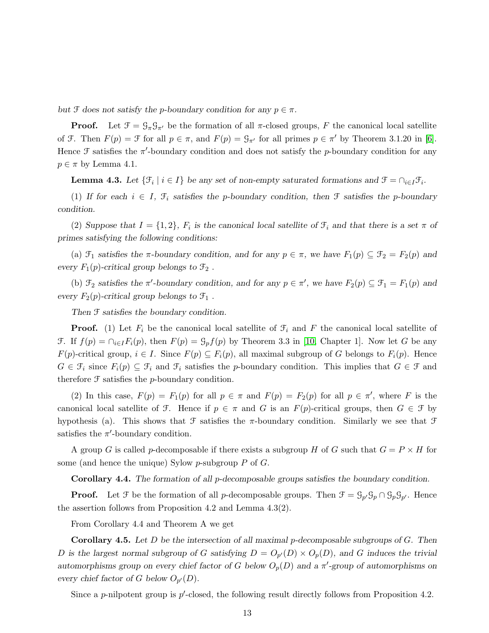*but*  $\mathcal F$  *does not satisfy the p-boundary condition for any*  $p \in \pi$ *.* 

**Proof.** Let  $\mathcal{F} = \mathcal{G}_{\pi} \mathcal{G}_{\pi'}$  be the formation of all  $\pi$ -closed groups, F the canonical local satellite of F. Then  $F(p) = \mathcal{F}$  for all  $p \in \pi$ , and  $F(p) = \mathcal{G}_{\pi'}$  for all primes  $p \in \pi'$  by Theorem 3.1.20 in [\[6\]](#page-16-8). Hence  $\mathcal F$  satisfies the  $\pi'$ -boundary condition and does not satisfy the p-boundary condition for any  $p \in \pi$  by Lemma 4.1.

**Lemma 4.3.** Let  $\{\mathcal{F}_i \mid i \in I\}$  be any set of non-empty saturated formations and  $\mathcal{F} = \cap_{i \in I} \mathcal{F}_i$ .

(1) If for each  $i \in I$ ,  $\mathcal{F}_i$  satisfies the p-boundary condition, then  $\mathcal{F}$  satisfies the p-boundary *condition.*

(2) Suppose that  $I = \{1, 2\}$ ,  $F_i$  is the canonical local satellite of  $\mathcal{F}_i$  and that there is a set  $\pi$  of *primes satisfying the following conditions:*

(a)  $\mathcal{F}_1$  *satisfies the*  $\pi$ -boundary condition, and for any  $p \in \pi$ , we have  $F_1(p) \subseteq \mathcal{F}_2 = F_2(p)$  and *every*  $F_1(p)$ -critical group belongs to  $\mathcal{F}_2$ .

(b)  $\mathcal{F}_2$  *satisfies the*  $\pi'$ -boundary condition, and for any  $p \in \pi'$ , we have  $F_2(p) \subseteq \mathcal{F}_1 = F_1(p)$  and *every*  $F_2(p)$ -critical group belongs to  $\mathcal{F}_1$ .

*Then* F *satisfies the boundary condition.*

**Proof.** (1) Let  $F_i$  be the canonical local satellite of  $\mathcal{F}_i$  and F the canonical local satellite of F. If  $f(p) = \bigcap_{i \in I} F_i(p)$ , then  $F(p) = \mathcal{G}_p f(p)$  by Theorem 3.3 in [\[10,](#page-16-10) Chapter 1]. Now let G be any  $F(p)$ -critical group,  $i \in I$ . Since  $F(p) \subseteq F_i(p)$ , all maximal subgroup of G belongs to  $F_i(p)$ . Hence  $G \in \mathcal{F}_i$  since  $F_i(p) \subseteq \mathcal{F}_i$  and  $\mathcal{F}_i$  satisfies the p-boundary condition. This implies that  $G \in \mathcal{F}$  and therefore  $\mathcal F$  satisfies the *p*-boundary condition.

(2) In this case,  $F(p) = F_1(p)$  for all  $p \in \pi$  and  $F(p) = F_2(p)$  for all  $p \in \pi'$ , where F is the canonical local satellite of F. Hence if  $p \in \pi$  and G is an  $F(p)$ -critical groups, then  $G \in \mathcal{F}$  by hypothesis (a). This shows that  $\mathcal F$  satisfies the  $\pi$ -boundary condition. Similarly we see that  $\mathcal F$ satisfies the  $\pi'$ -boundary condition.

A group G is called p-decomposable if there exists a subgroup H of G such that  $G = P \times H$  for some (and hence the unique) Sylow  $p$ -subgroup  $P$  of  $G$ .

Corollary 4.4. *The formation of all* p*-decomposable groups satisfies the boundary condition.*

**Proof.** Let  $\mathcal{F}$  be the formation of all p-decomposable groups. Then  $\mathcal{F} = \mathcal{G}_{p'} \mathcal{G}_p \cap \mathcal{G}_p \mathcal{G}_{p'}$ . Hence the assertion follows from Proposition 4.2 and Lemma 4.3(2).

From Corollary 4.4 and Theorem A we get

Corollary 4.5. *Let* D *be the intersection of all maximal* p*-decomposable subgroups of* G*. Then* D is the largest normal subgroup of G satisfying  $D = O_{p'}(D) \times O_p(D)$ , and G induces the trivial *automorphisms group on every chief factor of* G *below*  $O_p(D)$  *and a*  $\pi'$ -group of *automorphisms* on every chief factor of G below  $O_{p'}(D)$ .

Since a p-nilpotent group is  $p'$ -closed, the following result directly follows from Proposition 4.2.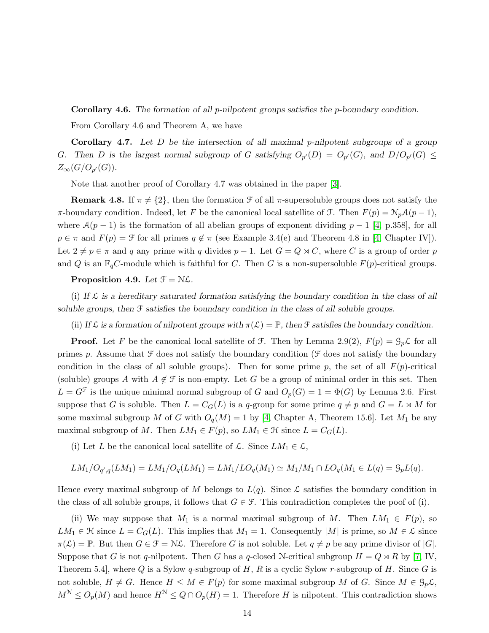Corollary 4.6. *The formation of all* p*-nilpotent groups satisfies the* p*-boundary condition.*

From Corollary 4.6 and Theorem A, we have

Corollary 4.7. *Let* D *be the intersection of all maximal* p*-nilpotent subgroups of a group* G. Then D is the largest normal subgroup of G satisfying  $O_{p'}(D) = O_{p'}(G)$ , and  $D/O_{p'}(G) \le$  $Z_\infty(G/O_{p'}(G)).$ 

Note that another proof of Corollary 4.7 was obtained in the paper [\[3\]](#page-16-1).

**Remark 4.8.** If  $\pi \neq \{2\}$ , then the formation  $\mathcal F$  of all  $\pi$ -supersoluble groups does not satisfy the π-boundary condition. Indeed, let F be the canonical local satellite of F. Then  $F(p) = N_p \mathcal{A}(p-1)$ , where  $\mathcal{A}(p-1)$  is the formation of all abelian groups of exponent dividing  $p-1$  [\[4,](#page-16-0) p.358], for all  $p \in \pi$  and  $F(p) = \mathcal{F}$  for all primes  $q \notin \pi$  (see Example 3.4(e) and Theorem 4.8 in [\[4,](#page-16-0) Chapter IV]). Let  $2 \neq p \in \pi$  and q any prime with q divides  $p - 1$ . Let  $G = Q \rtimes C$ , where C is a group of order p and Q is an  $\mathbb{F}_qC$ -module which is faithful for C. Then G is a non-supersoluble  $F(p)$ -critical groups.

Proposition 4.9. Let  $\mathcal{F} = \mathcal{N}\mathcal{L}$ .

(i) If  $\mathcal L$  is a hereditary saturated formation satisfying the boundary condition in the class of all *soluble groups, then* F *satisfies the boundary condition in the class of all soluble groups.*

(ii) If  $\mathcal L$  is a formation of nilpotent groups with  $\pi(\mathcal L) = \mathbb P$ , then  $\mathcal F$  satisfies the boundary condition.

**Proof.** Let F be the canonical local satellite of F. Then by Lemma 2.9(2),  $F(p) = \mathcal{G}_p \mathcal{L}$  for all primes p. Assume that  $\mathcal F$  does not satisfy the boundary condition ( $\mathcal F$  does not satisfy the boundary condition in the class of all soluble groups). Then for some prime p, the set of all  $F(p)$ -critical (soluble) groups A with  $A \notin \mathcal{F}$  is non-empty. Let G be a group of minimal order in this set. Then  $L = G^{\mathcal{F}}$  is the unique minimal normal subgroup of G and  $O_p(G) = 1 = \Phi(G)$  by Lemma 2.6. First suppose that G is soluble. Then  $L = C_G(L)$  is a q-group for some prime  $q \neq p$  and  $G = L \rtimes M$  for some maximal subgroup M of G with  $O_q(M) = 1$  by [\[4,](#page-16-0) Chapter A, Theorem 15.6]. Let  $M_1$  be any maximal subgroup of M. Then  $LM_1 \in F(p)$ , so  $LM_1 \in \mathcal{H}$  since  $L = C_G(L)$ .

(i) Let L be the canonical local satellite of L. Since  $LM_1 \in \mathcal{L}$ ,

$$
LM_1/O_{q',q}(LM_1) = LM_1/O_q(LM_1) = LM_1/LO_q(M_1) \simeq M_1/M_1 \cap LO_q(M_1 \in L(q) = \mathcal{G}_p L(q).
$$

Hence every maximal subgroup of M belongs to  $L(q)$ . Since  $\mathcal L$  satisfies the boundary condition in the class of all soluble groups, it follows that  $G \in \mathcal{F}$ . This contradiction completes the poof of (i).

(ii) We may suppose that  $M_1$  is a normal maximal subgroup of M. Then  $LM_1 \in F(p)$ , so  $LM_1 \in \mathcal{H}$  since  $L = C_G(L)$ . This implies that  $M_1 = 1$ . Consequently |M| is prime, so  $M \in \mathcal{L}$  since  $\pi(\mathcal{L}) = \mathbb{P}$ . But then  $G \in \mathcal{F} = \mathcal{N}\mathcal{L}$ . Therefore G is not soluble. Let  $q \neq p$  be any prime divisor of  $|G|$ . Suppose that G is not q-nilpotent. Then G has a q-closed N-critical subgroup  $H = Q \rtimes R$  by [\[7,](#page-16-11) IV, Theorem 5.4, where Q is a Sylow q-subgroup of  $H$ ,  $R$  is a cyclic Sylow r-subgroup of  $H$ . Since  $G$  is not soluble,  $H \neq G$ . Hence  $H \leq M \in F(p)$  for some maximal subgroup M of G. Since  $M \in \mathcal{G}_p\mathcal{L}$ ,  $M^{\mathcal{N}} \leq O_p(M)$  and hence  $H^{\mathcal{N}} \leq Q \cap O_p(H) = 1$ . Therefore H is nilpotent. This contradiction shows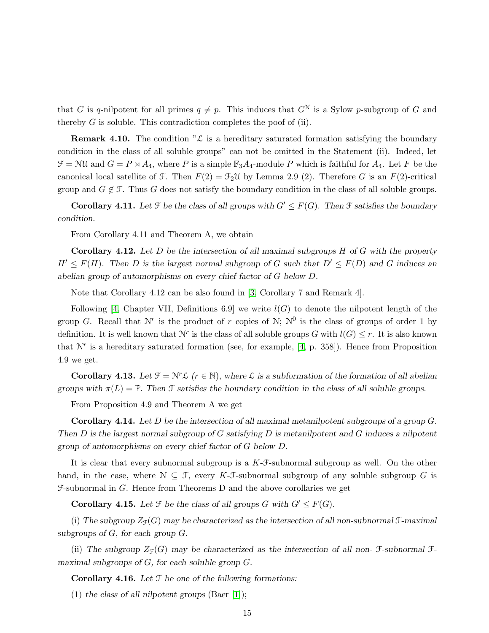that G is q-nilpotent for all primes  $q \neq p$ . This induces that  $G^N$  is a Sylow p-subgroup of G and thereby  $G$  is soluble. This contradiction completes the poof of (ii).

**Remark 4.10.** The condition " $\mathcal{L}$  is a hereditary saturated formation satisfying the boundary condition in the class of all soluble groups" can not be omitted in the Statement (ii). Indeed, let  $\mathcal{F} = \mathcal{N} \mathcal{U}$  and  $G = P \rtimes A_4$ , where P is a simple  $\mathbb{F}_3 A_4$ -module P which is faithful for  $A_4$ . Let F be the canonical local satellite of F. Then  $F(2) = \mathcal{F}_2\mathcal{U}$  by Lemma 2.9 (2). Therefore G is an  $F(2)$ -critical group and  $G \notin \mathcal{F}$ . Thus G does not satisfy the boundary condition in the class of all soluble groups.

Corollary 4.11. Let  $\mathcal F$  be the class of all groups with  $G' \leq F(G)$ . Then  $\mathcal F$  satisfies the boundary *condition.*

From Corollary 4.11 and Theorem A, we obtain

Corollary 4.12. *Let* D *be the intersection of all maximal subgroups* H *of* G *with the property*  $H' \leq F(H)$ . Then D is the largest normal subgroup of G such that  $D' \leq F(D)$  and G induces an *abelian group of automorphisms on every chief factor of* G *below* D*.*

Note that Corollary 4.12 can be also found in [\[3,](#page-16-1) Corollary 7 and Remark 4].

Following [\[4,](#page-16-0) Chapter VII, Definitions 6.9] we write  $l(G)$  to denote the nilpotent length of the group G. Recall that  $\mathcal{N}^r$  is the product of r copies of  $\mathcal{N}$ ;  $\mathcal{N}^0$  is the class of groups of order 1 by definition. It is well known that  $\mathcal{N}^r$  is the class of all soluble groups G with  $l(G) \leq r$ . It is also known that  $N^r$  is a hereditary saturated formation (see, for example, [\[4,](#page-16-0) p. 358]). Hence from Proposition 4.9 we get.

Corollary 4.13. Let  $\mathcal{F} = \mathcal{N}^r \mathcal{L}$  ( $r \in \mathbb{N}$ ), where  $\mathcal{L}$  is a subformation of the formation of all abelian *groups with*  $\pi(L) = \mathbb{P}$ . *Then*  $\mathcal{F}$  *satisfies the boundary condition in the class of all soluble groups.* 

From Proposition 4.9 and Theorem A we get

Corollary 4.14. *Let* D *be the intersection of all maximal metanilpotent subgroups of a group* G*. Then* D *is the largest normal subgroup of* G *satisfying* D *is metanilpotent and* G *induces a nilpotent group of automorphisms on every chief factor of* G *below* D*.*

It is clear that every subnormal subgroup is a K-F-subnormal subgroup as well. On the other hand, in the case, where  $\mathcal{N} \subseteq \mathcal{F}$ , every K-F-subnormal subgroup of any soluble subgroup G is F-subnormal in G. Hence from Theorems D and the above corollaries we get

**Corollary 4.15.** Let  $\mathcal{F}$  be the class of all groups G with  $G' \leq F(G)$ .

(i) The subgroup  $Z_{\mathcal{F}}(G)$  may be characterized as the intersection of all non-subnormal  $\mathcal{F}-$ maximal *subgroups of* G*, for each group* G*.*

(ii) The subgroup  $Z_{\mathcal{F}}(G)$  may be characterized as the intersection of all non- $\mathcal{F}$ -subnormal  $\mathcal{F}$ *maximal subgroups of* G*, for each soluble group* G*.*

Corollary 4.16. *Let* F *be one of the following formations:*

(1) *the class of all nilpotent groups* (Baer [\[1\]](#page-16-4));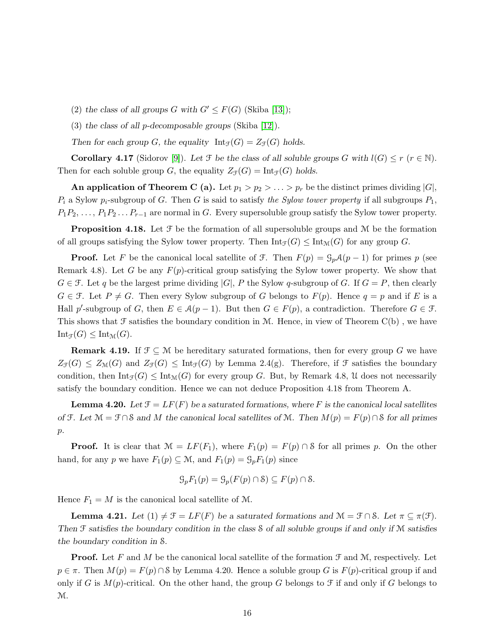- (2) the class of all groups G with  $G' \leq F(G)$  (Skiba [\[13\]](#page-16-3));
- (3) *the class of all* p*-decomposable groups* (Skiba [\[12\]](#page-16-2)).

Then for each group *G*, the equality  $Int_{\mathcal{F}}(G) = Z_{\mathcal{F}}(G)$  holds.

**Corollary 4.17** (Sidorov [\[9\]](#page-16-5)). Let  $\mathcal F$  be the class of all soluble groups G with  $l(G) \leq r$  ( $r \in \mathbb N$ ). Then for each soluble group G, the equality  $Z_{\mathcal{F}}(G) = \text{Int}_{\mathcal{F}}(G)$  holds.

An application of Theorem C (a). Let  $p_1 > p_2 > \ldots > p_r$  be the distinct primes dividing  $|G|$ ,  $P_i$  a Sylow  $p_i$ -subgroup of G. Then G is said to satisfy the Sylow tower property if all subgroups  $P_1$ ,  $P_1P_2, \ldots, P_1P_2 \ldots P_{r-1}$  are normal in G. Every supersoluble group satisfy the Sylow tower property.

**Proposition 4.18.** Let  $\mathcal{F}$  be the formation of all supersoluble groups and  $\mathcal{M}$  be the formation of all groups satisfying the Sylow tower property. Then  $\text{Int}_{\mathcal{F}}(G) \leq \text{Int}_{\mathcal{M}}(G)$  for any group G.

**Proof.** Let F be the canonical local satellite of F. Then  $F(p) = \mathcal{G}_p \mathcal{A}(p-1)$  for primes p (see Remark 4.8). Let G be any  $F(p)$ -critical group satisfying the Sylow tower property. We show that  $G \in \mathcal{F}$ . Let q be the largest prime dividing  $|G|$ , P the Sylow q-subgroup of G. If  $G = P$ , then clearly  $G \in \mathcal{F}$ . Let  $P \neq G$ . Then every Sylow subgroup of G belongs to  $F(p)$ . Hence  $q = p$  and if E is a Hall p'-subgroup of G, then  $E \in \mathcal{A}(p-1)$ . But then  $G \in F(p)$ , a contradiction. Therefore  $G \in \mathcal{F}$ . This shows that  $\mathcal F$  satisfies the boundary condition in M. Hence, in view of Theorem  $C(b)$ , we have  $Int_{\mathcal{F}}(G) \leq Int_{\mathcal{M}}(G).$ 

**Remark 4.19.** If  $\mathcal{F} \subseteq \mathcal{M}$  be hereditary saturated formations, then for every group G we have  $Z_{\mathcal{F}}(G) \leq Z_{\mathcal{M}}(G)$  and  $Z_{\mathcal{F}}(G) \leq \text{Int}_{\mathcal{F}}(G)$  by Lemma 2.4(g). Therefore, if  $\mathcal{F}$  satisfies the boundary condition, then  $\text{Int}_{\mathcal{F}}(G) \leq \text{Int}_{\mathcal{M}}(G)$  for every group G. But, by Remark 4.8, U does not necessarily satisfy the boundary condition. Hence we can not deduce Proposition 4.18 from Theorem A.

**Lemma 4.20.** Let  $\mathcal{F} = LF(F)$  be a saturated formations, where F is the canonical local satellites *of*  $\mathcal{F}$ *. Let*  $\mathcal{M} = \mathcal{F} \cap \mathcal{S}$  *and*  $M$  *the canonical local satellites of*  $\mathcal{M}$ *. Then*  $M(p) = F(p) \cap \mathcal{S}$  *for all primes* p*.*

**Proof.** It is clear that  $\mathcal{M} = LF(F_1)$ , where  $F_1(p) = F(p) \cap \mathcal{S}$  for all primes p. On the other hand, for any p we have  $F_1(p) \subseteq M$ , and  $F_1(p) = \mathcal{G}_p F_1(p)$  since

$$
\mathcal{G}_p F_1(p) = \mathcal{G}_p(F(p) \cap \mathcal{S}) \subseteq F(p) \cap \mathcal{S}.
$$

Hence  $F_1 = M$  is the canonical local satellite of M.

**Lemma 4.21.** Let  $(1) \neq \mathcal{F} = LF(F)$  be a saturated formations and  $\mathcal{M} = \mathcal{F} \cap \mathcal{S}$ . Let  $\pi \subseteq \pi(\mathcal{F})$ . *Then* F *satisfies the boundary condition in the class* S *of all soluble groups if and only if* M *satisfies the boundary condition in* S*.*

**Proof.** Let F and M be the canonical local satellite of the formation  $\mathcal{F}$  and  $\mathcal{M}$ , respectively. Let  $p \in \pi$ . Then  $M(p) = F(p) \cap \mathcal{S}$  by Lemma 4.20. Hence a soluble group G is  $F(p)$ -critical group if and only if G is  $M(p)$ -critical. On the other hand, the group G belongs to F if and only if G belongs to M.